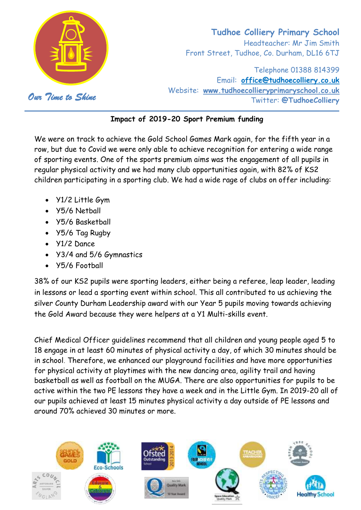

# **Tudhoe Colliery Primary School** Headteacher: Mr Jim Smith Front Street, Tudhoe, Co. Durham, DL16 6TJ

Telephone 01388 814399 Email: **[office@tudhoecolliery.co.uk](mailto:office@tudhoecolliery.co.uk)** Website: **[www.tudhoecollieryprimaryschool.co.uk](http://www.tudhoecollieryprimaryschool.co.uk/)** *Our Time to Shine* Twitter: **@TudhoeColliery**

### **Impact of 2019-20 Sport Premium funding**

We were on track to achieve the Gold School Games Mark again, for the fifth year in a row, but due to Covid we were only able to achieve recognition for entering a wide range of sporting events. One of the sports premium aims was the engagement of all pupils in regular physical activity and we had many club opportunities again, with 82% of KS2 children participating in a sporting club. We had a wide rage of clubs on offer including:

- Y1/2 Little Gym
- Y5/6 Netball
- Y5/6 Basketball
- Y5/6 Tag Rugby
- Y1/2 Dance
- Y3/4 and 5/6 Gymnastics
- Y5/6 Football

38% of our KS2 pupils were sporting leaders, either being a referee, leap leader, leading in lessons or lead a sporting event within school. This all contributed to us achieving the silver County Durham Leadership award with our Year 5 pupils moving towards achieving the Gold Award because they were helpers at a Y1 Multi-skills event.

Chief Medical Officer guidelines recommend that all children and young people aged 5 to 18 engage in at least 60 minutes of physical activity a day, of which 30 minutes should be in school. Therefore, we enhanced our playground facilities and have more opportunities for physical activity at playtimes with the new dancing area, agility trail and having basketball as well as football on the MUGA. There are also opportunities for pupils to be active within the two PE lessons they have a week and in the Little Gym. In 2019-20 all of our pupils achieved at least 15 minutes physical activity a day outside of PE lessons and around 70% achieved 30 minutes or more.